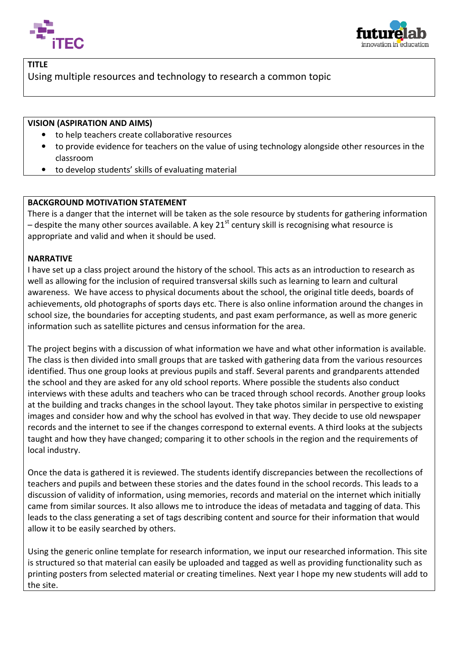



## TITLE

Using multiple resources and technology to research a common topic

## VISION (ASPIRATION AND AIMS)

- to help teachers create collaborative resources
- to provide evidence for teachers on the value of using technology alongside other resources in the classroom
- to develop students' skills of evaluating material

## BACKGROUND MOTIVATION STATEMENT

There is a danger that the internet will be taken as the sole resource by students for gathering information – despite the many other sources available. A key 21<sup>st</sup> century skill is recognising what resource is appropriate and valid and when it should be used.

## NARRATIVE

I have set up a class project around the history of the school. This acts as an introduction to research as well as allowing for the inclusion of required transversal skills such as learning to learn and cultural awareness. We have access to physical documents about the school, the original title deeds, boards boards of achievements, old photographs of sports days etc. There is also online information around the changes in school size, the boundaries for accepting students, and past exam performance, as well as more generic information such as satellite pictures and census information for the area.

The project begins with a discussion of what information we have and what other information is available. The class is then divided into small groups that are tasked with gathering data from the various resources identified. Thus one group looks at previous pupils and staff. Several parents and grandparents attended the school and they are asked for any old school reports. Where possible the students also conduct interviews with these adults and teachers who can be traced through school records. Another group looks at the building and tracks changes in the school layout. They take photos similar in perspective to existing<br>images and consider how and why the school has evolved in that way. They decide to use old newspaper images and consider how and why the school has evolved in that way. They decide to use old new records and the internet to see if the changes correspond to external events. A third looks at the subjects taught and how they have changed; comparing it to other schools in the region and the requirements of local industry. records and the internet to see if the changes correspond to external events. A third looks at the subjects<br>taught and how they have changed; comparing it to other schools in the region and the requirements of<br>local indust

teachers and pupils and between these stories and the dates found in the school records. This leads to a discussion of validity of information, using memories, records and material on the internet which initially came from similar sources. It also allows me to introduce the ideas of metadata and tagging of data. This leads to the class generating a set of tags describing content and source for their information that would allow it to be easily searched by others.

Using the generic online template for research information, we input our researched information. This site is structured so that material can easily be uploaded and tagged as well as providing functionality such as printing posters from selected material or creating timelines. Next year I hope my new students will add to the site.